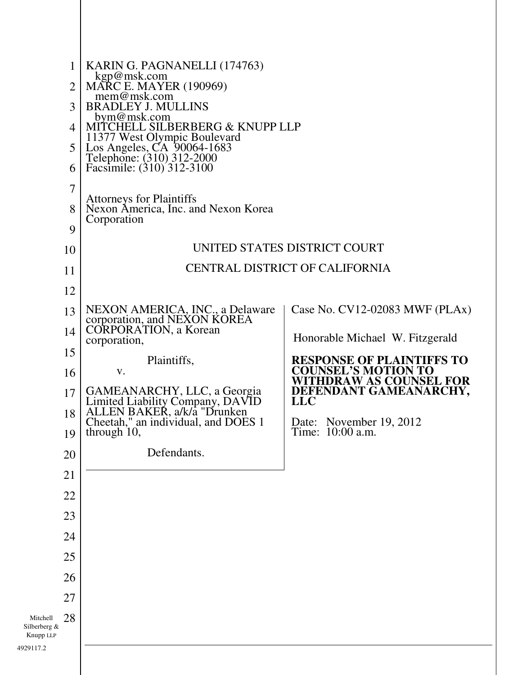| 1<br>$\overline{2}$<br>3<br>4<br>5                       | KARIN G. PAGNANELLI (174763)<br>kgp@msk.com<br>MARC E. MAYER (190969)<br>mem@msk.com<br><b>BRADLEY J. MULLINS</b><br>bym@msk.com<br>MITCHELL SILBERBERG & KNUPP LLP<br>11377 West Olympic Boulevard<br>Los Angeles, CA 90064-1683<br>Telephone: (310) 312-2000<br>Facsimile: (310) 312-3100                  |                                                                                                                                                                                                                                                              |
|----------------------------------------------------------|--------------------------------------------------------------------------------------------------------------------------------------------------------------------------------------------------------------------------------------------------------------------------------------------------------------|--------------------------------------------------------------------------------------------------------------------------------------------------------------------------------------------------------------------------------------------------------------|
| 6<br>$\overline{7}$<br>8<br>9<br>10                      | <b>Attorneys for Plaintiffs</b><br>Nexon America, Inc. and Nexon Korea<br>Corporation                                                                                                                                                                                                                        | UNITED STATES DISTRICT COURT                                                                                                                                                                                                                                 |
| 11<br>12                                                 | <b>CENTRAL DISTRICT OF CALIFORNIA</b>                                                                                                                                                                                                                                                                        |                                                                                                                                                                                                                                                              |
| 13<br>14<br>15<br>16<br>17<br>18<br>19<br>20             | NEXON AMERICA, INC., a Delaware<br>corporation, and NEXON KOREA<br><b>CORPORATION</b> , a Korean<br>corporation,<br>Plaintiffs,<br>V.<br>GAMEANARCHY, LLC, a Georgia<br>Limited Liability Company, DAVID<br>ALLEN BAKER, a/k/a "Drunken<br>Cheetah," an individual, and DOES 1<br>through 10,<br>Defendants. | Case No. CV12-02083 MWF (PLAx)<br>Honorable Michael W. Fitzgerald<br><b>RESPONSE OF PLAINTIFFS TO</b><br><b>COUNSEL'S MOTION TO</b><br><b>WITHDRAW AS COUNSEL FOR</b><br>DEFENDANT GAMEANARCHY,<br><b>LLC</b><br>Date: November 19, 2012<br>Time: 10:00 a.m. |
| 21<br>22<br>23<br>24<br>25<br>26<br>27<br>28<br>Mitchell |                                                                                                                                                                                                                                                                                                              |                                                                                                                                                                                                                                                              |
| Silberberg &<br>Knupp LLP<br>29117.2                     |                                                                                                                                                                                                                                                                                                              |                                                                                                                                                                                                                                                              |

4929117.2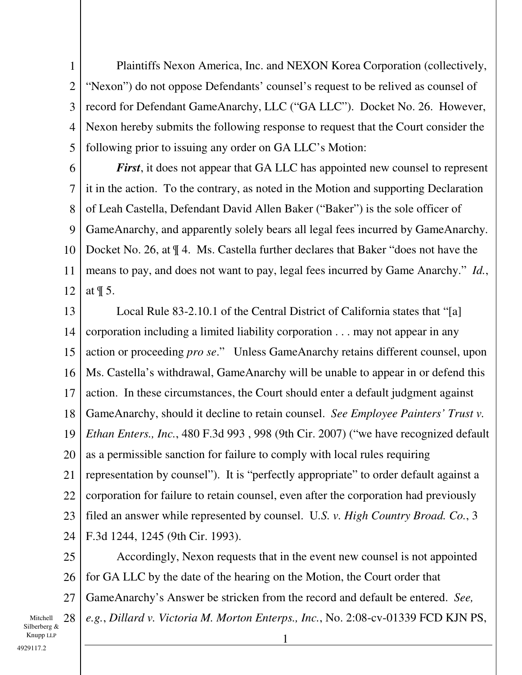1 2 3 4 5 Plaintiffs Nexon America, Inc. and NEXON Korea Corporation (collectively, "Nexon") do not oppose Defendants' counsel's request to be relived as counsel of record for Defendant GameAnarchy, LLC ("GA LLC"). Docket No. 26. However, Nexon hereby submits the following response to request that the Court consider the following prior to issuing any order on GA LLC's Motion:

6 7 8 9 10 11 12 *First*, it does not appear that GA LLC has appointed new counsel to represent it in the action. To the contrary, as noted in the Motion and supporting Declaration of Leah Castella, Defendant David Allen Baker ("Baker") is the sole officer of GameAnarchy, and apparently solely bears all legal fees incurred by GameAnarchy. Docket No. 26, at ¶ 4. Ms. Castella further declares that Baker "does not have the means to pay, and does not want to pay, legal fees incurred by Game Anarchy." *Id.*, at ¶ 5.

13 14 15 16 17 18 19 20 21 22 23 24 Local Rule 83-2.10.1 of the Central District of California states that "[a] corporation including a limited liability corporation . . . may not appear in any action or proceeding *pro se*." Unless GameAnarchy retains different counsel, upon Ms. Castella's withdrawal, GameAnarchy will be unable to appear in or defend this action. In these circumstances, the Court should enter a default judgment against GameAnarchy, should it decline to retain counsel. *See Employee Painters' Trust v. Ethan Enters., Inc.*, 480 F.3d 993 , 998 (9th Cir. 2007) ("we have recognized default as a permissible sanction for failure to comply with local rules requiring representation by counsel"). It is "perfectly appropriate" to order default against a corporation for failure to retain counsel, even after the corporation had previously filed an answer while represented by counsel. U*.S. v. High Country Broad. Co.*, 3 F.3d 1244, 1245 (9th Cir. 1993).

25 26 27 Accordingly, Nexon requests that in the event new counsel is not appointed for GA LLC by the date of the hearing on the Motion, the Court order that GameAnarchy's Answer be stricken from the record and default be entered. *See, e.g.*, *Dillard v. Victoria M. Morton Enterps., Inc.*, No. 2:08-cv-01339 FCD KJN PS,

Mitchell 28 Silberberg &  $\blacksquare$  1